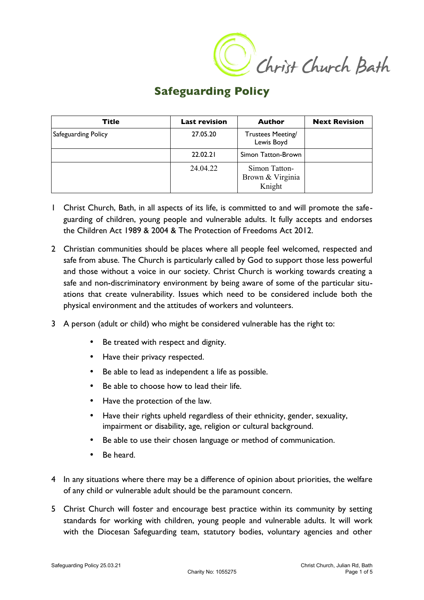C Christ Church Bath

## **Safeguarding Policy**

| Title               | <b>Last revision</b> | <b>Author</b>                               | <b>Next Revision</b> |
|---------------------|----------------------|---------------------------------------------|----------------------|
| Safeguarding Policy | 27.05.20             | Trustees Meeting/<br>Lewis Boyd             |                      |
|                     | 22.02.21             | Simon Tatton-Brown                          |                      |
|                     | 24.04.22             | Simon Tatton-<br>Brown & Virginia<br>Knight |                      |

- 1 Christ Church, Bath, in all aspects of its life, is committed to and will promote the safeguarding of children, young people and vulnerable adults. It fully accepts and endorses the Children Act 1989 & 2004 & The Protection of Freedoms Act 2012.
- 2 Christian communities should be places where all people feel welcomed, respected and safe from abuse. The Church is particularly called by God to support those less powerful and those without a voice in our society. Christ Church is working towards creating a safe and non-discriminatory environment by being aware of some of the particular situations that create vulnerability. Issues which need to be considered include both the physical environment and the attitudes of workers and volunteers.
- 3 A person (adult or child) who might be considered vulnerable has the right to:
	- Be treated with respect and dignity.
	- Have their privacy respected.
	- Be able to lead as independent a life as possible.
	- Be able to choose how to lead their life.
	- Have the protection of the law.
	- Have their rights upheld regardless of their ethnicity, gender, sexuality, impairment or disability, age, religion or cultural background.
	- Be able to use their chosen language or method of communication.
	- Be heard.
- 4 In any situations where there may be a difference of opinion about priorities, the welfare of any child or vulnerable adult should be the paramount concern.
- 5 Christ Church will foster and encourage best practice within its community by setting standards for working with children, young people and vulnerable adults. It will work with the Diocesan Safeguarding team, statutory bodies, voluntary agencies and other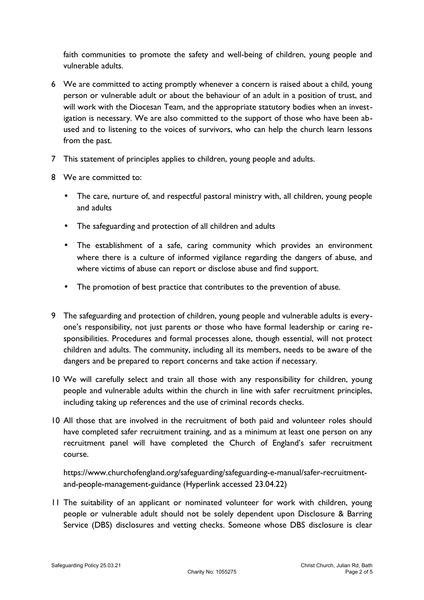faith communities to promote the safety and well-being of children, young people and vulnerable adults.

- 6 We are committed to acting promptly whenever a concern is raised about a child, young person or vulnerable adult or about the behaviour of an adult in a position of trust, and will work with the Diocesan Team, and the appropriate statutory bodies when an investigation is necessary. We are also committed to the support of those who have been abused and to listening to the voices of survivors, who can help the church learn lessons from the past.
- 7 This statement of principles applies to children, young people and adults.
- 8 We are committed to:
	- The care, nurture of, and respectful pastoral ministry with, all children, young people and adults
	- The safeguarding and protection of all children and adults
	- The establishment of a safe, caring community which provides an environment where there is a culture of informed vigilance regarding the dangers of abuse, and where victims of abuse can report or disclose abuse and find support.
	- The promotion of best practice that contributes to the prevention of abuse.
- 9 The safeguarding and protection of children, young people and vulnerable adults is everyone's responsibility, not just parents or those who have formal leadership or caring responsibilities. Procedures and formal processes alone, though essential, will not protect children and adults. The community, including all its members, needs to be aware of the dangers and be prepared to report concerns and take action if necessary.
- 10 We will carefully select and train all those with any responsibility for children, young people and vulnerable adults within the church in line with safer recruitment principles, including taking up references and the use of criminal records checks.
- 10 All those that are involved in the recruitment of both paid and volunteer roles should have completed safer recruitment training, and as a minimum at least one person on any recruitment panel will have completed the Church of England's safer recruitment course.

https://www.churchofengland.org/safeguarding/safeguarding-e-manual/safer-recruitmentand-people-management-guidance (Hyperlink accessed 23.04.22)

11 The suitability of an applicant or nominated volunteer for work with children, young people or vulnerable adult should not be solely dependent upon Disclosure & Barring Service (DBS) disclosures and vetting checks. Someone whose DBS disclosure is clear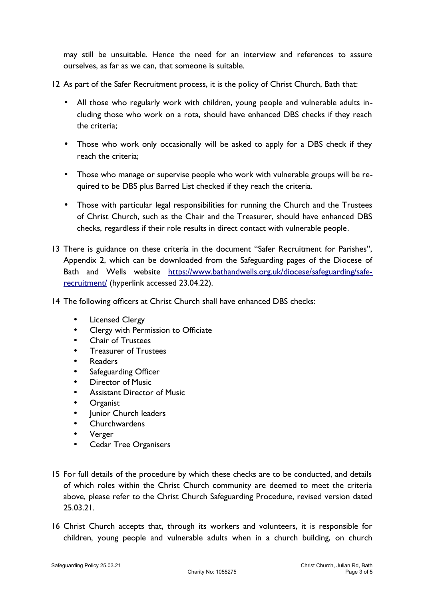may still be unsuitable. Hence the need for an interview and references to assure ourselves, as far as we can, that someone is suitable.

- 12 As part of the Safer Recruitment process, it is the policy of Christ Church, Bath that:
	- All those who regularly work with children, young people and vulnerable adults including those who work on a rota, should have enhanced DBS checks if they reach the criteria;
	- Those who work only occasionally will be asked to apply for a DBS check if they reach the criteria;
	- Those who manage or supervise people who work with vulnerable groups will be required to be DBS plus Barred List checked if they reach the criteria.
	- Those with particular legal responsibilities for running the Church and the Trustees of Christ Church, such as the Chair and the Treasurer, should have enhanced DBS checks, regardless if their role results in direct contact with vulnerable people.
- 13 There is guidance on these criteria in the document "Safer Recruitment for Parishes", Appendix 2, which can be downloaded from the Safeguarding pages of the Diocese of Bath and Wells website [https://www.bathandwells.org.uk/diocese/safeguarding/safe](https://www.bathandwells.org.uk/diocese/safeguarding/safe-recruitment/)[recruitment/](https://www.bathandwells.org.uk/diocese/safeguarding/safe-recruitment/) (hyperlink accessed 23.04.22).
- 14 The following officers at Christ Church shall have enhanced DBS checks:
	- Licensed Clergy
	- Clergy with Permission to Officiate
	- Chair of Trustees
	- Treasurer of Trustees
	- Readers
	- Safeguarding Officer
	- Director of Music
	- Assistant Director of Music
	- **Organist**
	- Junior Church leaders
	- **Churchwardens**
	- Verger
	- Cedar Tree Organisers
- 15 For full details of the procedure by which these checks are to be conducted, and details of which roles within the Christ Church community are deemed to meet the criteria above, please refer to the Christ Church Safeguarding Procedure, revised version dated 25.03.21.
- 16 Christ Church accepts that, through its workers and volunteers, it is responsible for children, young people and vulnerable adults when in a church building, on church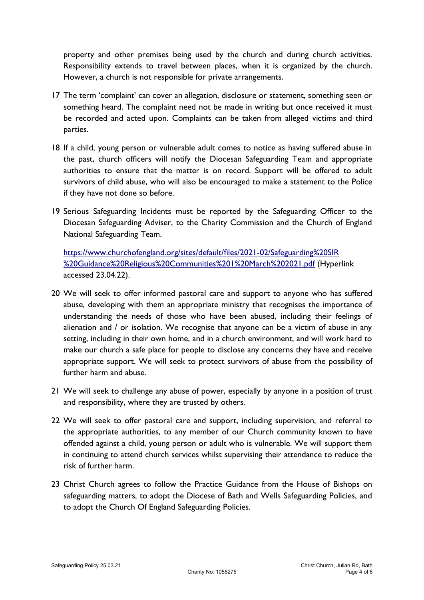property and other premises being used by the church and during church activities. Responsibility extends to travel between places, when it is organized by the church. However, a church is not responsible for private arrangements.

- 17 The term 'complaint' can cover an allegation, disclosure or statement, something seen or something heard. The complaint need not be made in writing but once received it must be recorded and acted upon. Complaints can be taken from alleged victims and third parties.
- 18 If a child, young person or vulnerable adult comes to notice as having suffered abuse in the past, church officers will notify the Diocesan Safeguarding Team and appropriate authorities to ensure that the matter is on record. Support will be offered to adult survivors of child abuse, who will also be encouraged to make a statement to the Police if they have not done so before.
- 19 Serious Safeguarding Incidents must be reported by the Safeguarding Officer to the Diocesan Safeguarding Adviser, to the Charity Commission and the Church of England National Safeguarding Team.

[https://www.churchofengland.org/sites/default/files/2021-02/Safeguarding%20SIR](https://www.churchofengland.org/sites/default/files/2021-02/Safeguarding%20SIR%20Guidance%20Religious%20Communities%201%20March%202021.pdf) [%20Guidance%20Religious%20Communities%201%20March%202021.pdf](https://www.churchofengland.org/sites/default/files/2021-02/Safeguarding%20SIR%20Guidance%20Religious%20Communities%201%20March%202021.pdf) (Hyperlink accessed 23.04.22).

- 20 We will seek to offer informed pastoral care and support to anyone who has suffered abuse, developing with them an appropriate ministry that recognises the importance of understanding the needs of those who have been abused, including their feelings of alienation and / or isolation. We recognise that anyone can be a victim of abuse in any setting, including in their own home, and in a church environment, and will work hard to make our church a safe place for people to disclose any concerns they have and receive appropriate support. We will seek to protect survivors of abuse from the possibility of further harm and abuse.
- 21 We will seek to challenge any abuse of power, especially by anyone in a position of trust and responsibility, where they are trusted by others.
- 22 We will seek to offer pastoral care and support, including supervision, and referral to the appropriate authorities, to any member of our Church community known to have offended against a child, young person or adult who is vulnerable. We will support them in continuing to attend church services whilst supervising their attendance to reduce the risk of further harm.
- 23 Christ Church agrees to follow the Practice Guidance from the House of Bishops on safeguarding matters, to adopt the Diocese of Bath and Wells Safeguarding Policies, and to adopt the Church Of England Safeguarding Policies.